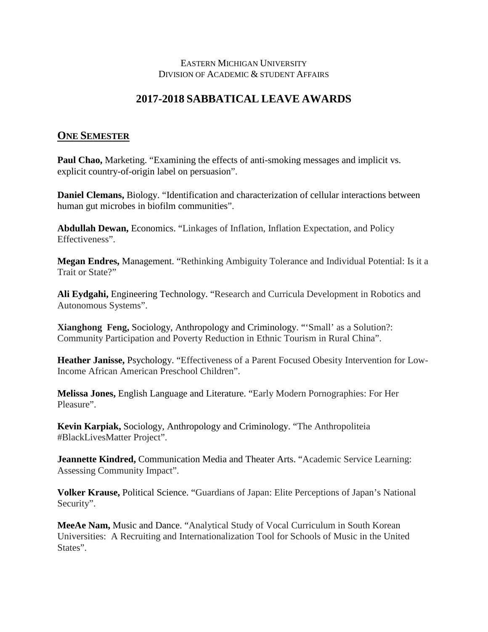## EASTERN MICHIGAN UNIVERSITY DIVISION OF ACADEMIC & STUDENT AFFAIRS

## **2017-2018 SABBATICAL LEAVE AWARDS**

## **ONE SEMESTER**

**Paul Chao,** Marketing. "Examining the effects of anti-smoking messages and implicit vs. explicit country-of-origin label on persuasion".

**Daniel Clemans,** Biology. "Identification and characterization of cellular interactions between human gut microbes in biofilm communities".

**Abdullah Dewan,** Economics. "Linkages of Inflation, Inflation Expectation, and Policy Effectiveness".

**Megan Endres,** Management. "Rethinking Ambiguity Tolerance and Individual Potential: Is it a Trait or State?"

**Ali Eydgahi,** Engineering Technology. "Research and Curricula Development in Robotics and Autonomous Systems".

**Xianghong Feng,** Sociology, Anthropology and Criminology. "'Small' as a Solution?: Community Participation and Poverty Reduction in Ethnic Tourism in Rural China".

**Heather Janisse,** Psychology. "Effectiveness of a Parent Focused Obesity Intervention for Low-Income African American Preschool Children".

**Melissa Jones,** English Language and Literature. "Early Modern Pornographies: For Her Pleasure".

**Kevin Karpiak,** Sociology, Anthropology and Criminology. "The Anthropoliteia #BlackLivesMatter Project".

**Jeannette Kindred, Communication Media and Theater Arts. "Academic Service Learning:**" Assessing Community Impact".

**Volker Krause,** Political Science. "Guardians of Japan: Elite Perceptions of Japan's National Security".

**MeeAe Nam,** Music and Dance. "Analytical Study of Vocal Curriculum in South Korean Universities: A Recruiting and Internationalization Tool for Schools of Music in the United States".